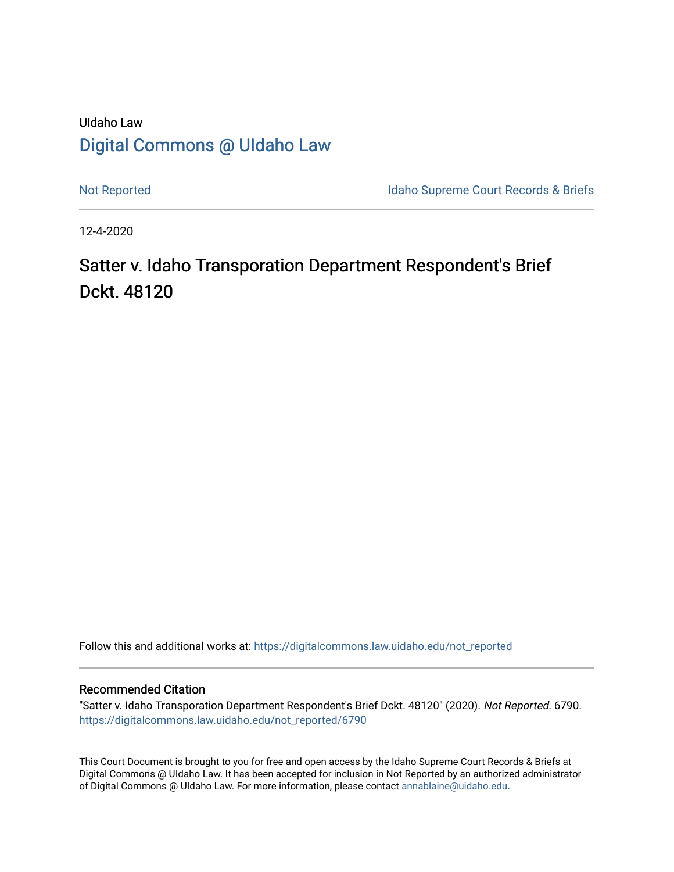# UIdaho Law [Digital Commons @ UIdaho Law](https://digitalcommons.law.uidaho.edu/)

[Not Reported](https://digitalcommons.law.uidaho.edu/not_reported) **Idaho Supreme Court Records & Briefs** 

12-4-2020

# Satter v. Idaho Transporation Department Respondent's Brief Dckt. 48120

Follow this and additional works at: [https://digitalcommons.law.uidaho.edu/not\\_reported](https://digitalcommons.law.uidaho.edu/not_reported?utm_source=digitalcommons.law.uidaho.edu%2Fnot_reported%2F6790&utm_medium=PDF&utm_campaign=PDFCoverPages) 

#### Recommended Citation

"Satter v. Idaho Transporation Department Respondent's Brief Dckt. 48120" (2020). Not Reported. 6790. [https://digitalcommons.law.uidaho.edu/not\\_reported/6790](https://digitalcommons.law.uidaho.edu/not_reported/6790?utm_source=digitalcommons.law.uidaho.edu%2Fnot_reported%2F6790&utm_medium=PDF&utm_campaign=PDFCoverPages)

This Court Document is brought to you for free and open access by the Idaho Supreme Court Records & Briefs at Digital Commons @ UIdaho Law. It has been accepted for inclusion in Not Reported by an authorized administrator of Digital Commons @ UIdaho Law. For more information, please contact [annablaine@uidaho.edu](mailto:annablaine@uidaho.edu).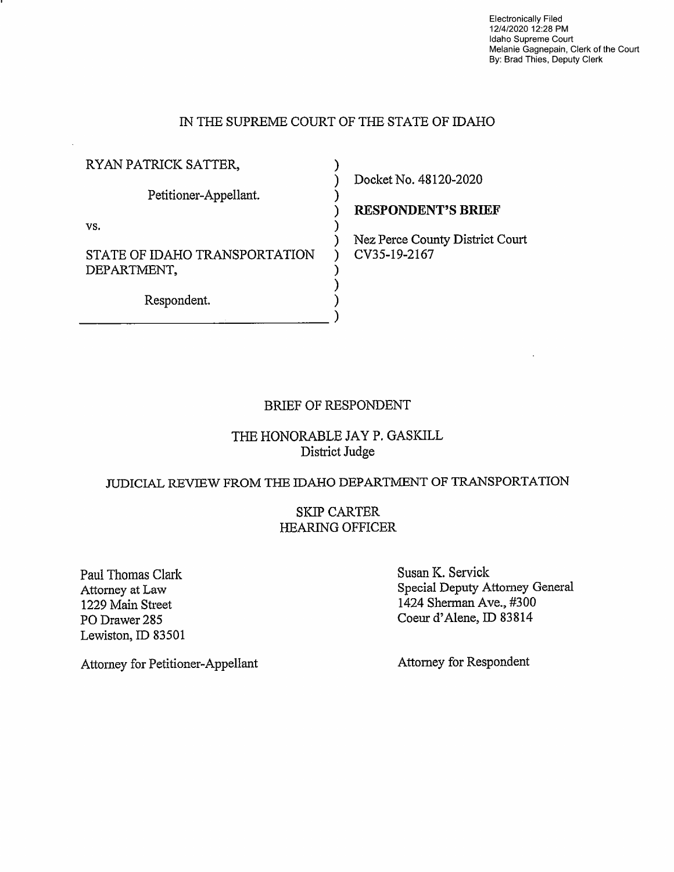Electronically Filed 12/4/2020 12:28 PM Idaho Supreme Court Melanie Gagnepain, Clerk of the Court By: Brad Thies, Deputy Clerk

### IN THE SUPREME COURT OF THE STATE OF IDAHO

)

)

)

) ) )

RYAN PATRICK SATTER, Petitioner-Appellant. vs. STATE OF IDAHO TRANSPORTATION DEPARTMENT,

Respondent.  $\overline{a}$  ) Docket No. 48120-2020

) **RESPONDENT'S BRIEF** 

) Nez Perce County District Court ) CV35-19-2167

### BRIEF OF RESPONDENT

### THE HONORABLE JAY P. GASKILL District Judge

### JUDICIAL REVIEW FROM THE IDAHO DEPARTMENT OF TRANSPORTATION

### SKIP CARTER HEARING OFFICER

Paul Thomas Clark Attorney at Law 1229 Main Street PO Drawer 285 Lewiston, ID 83501 Susan K. Servick Special Deputy Attomey General 1424 Sherman Ave., #300 Coeur d'Alene, ID 83814

Attorney for Respondent

Attorney for Petitioner-Appellant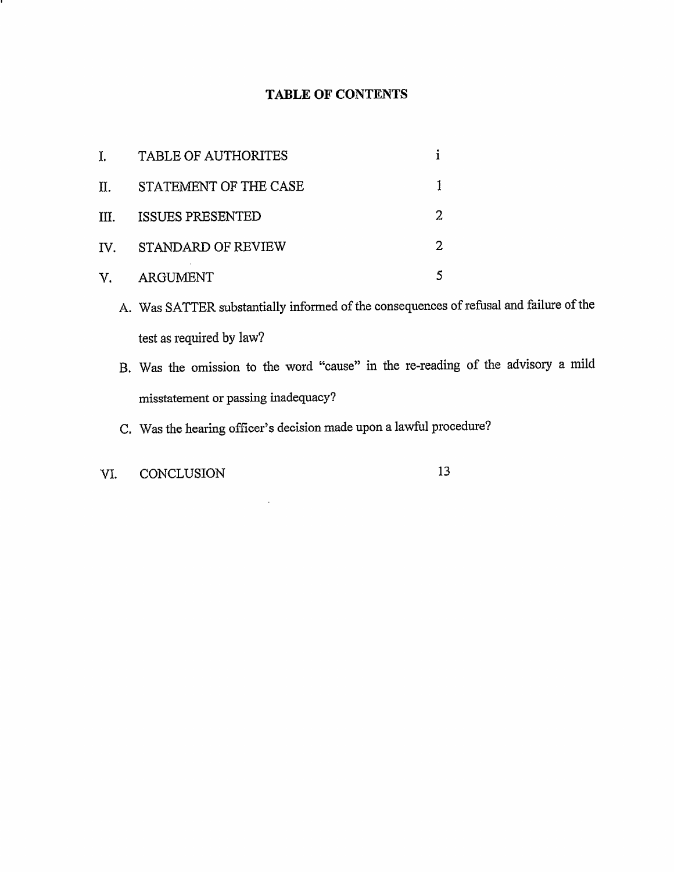# **TABLE OF CONTENTS**

| I.                | <b>TABLE OF AUTHORITES</b> |  |
|-------------------|----------------------------|--|
| П.                | STATEMENT OF THE CASE      |  |
| III.              | <b>ISSUES PRESENTED</b>    |  |
| $\mathbf{IV}_{-}$ | STANDARD OF REVIEW         |  |
| V.                | ARGUMENT                   |  |

- A. Was SATTER substantially informed of the consequences of refusal and failure of the test as required by law?
- B. Was the omission to the word "cause" in the re-reading of the advisory a mild misstatement or passing inadequacy?
- C. Was the hearing officer's decision made upon a lawful procedure?

 $\mathcal{L}$ 

VI. CONCLUSION 13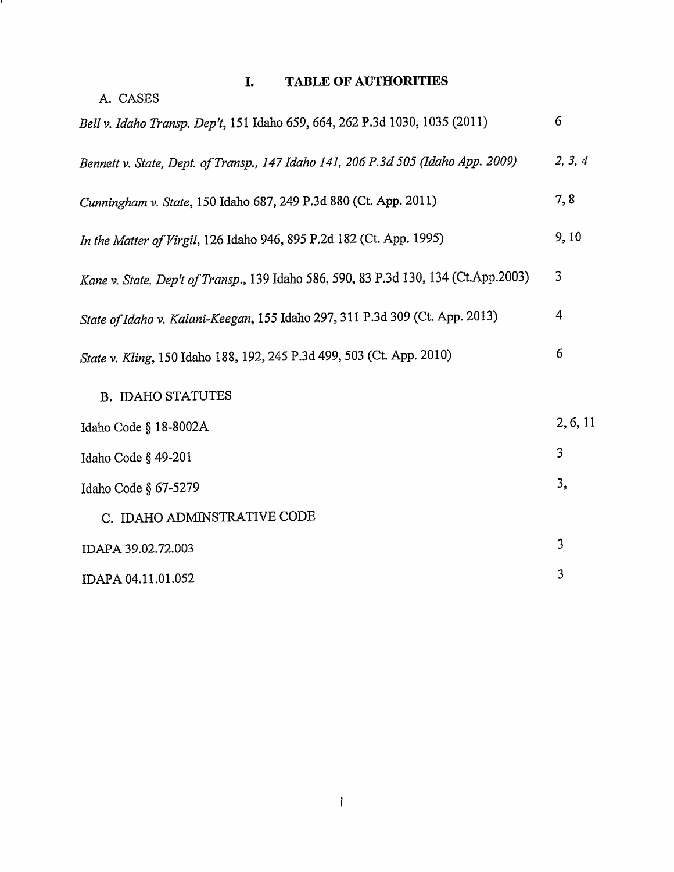# **I. TABLE OF AUTHORITIES**

υ,

| A. CASES                                                                            |          |  |
|-------------------------------------------------------------------------------------|----------|--|
| Bell v. Idaho Transp. Dep't, 151 Idaho 659, 664, 262 P.3d 1030, 1035 (2011)         |          |  |
| Bennett v. State, Dept. of Transp., 147 Idaho 141, 206 P.3d 505 (Idaho App. 2009)   |          |  |
| Cunningham v. State, 150 Idaho 687, 249 P.3d 880 (Ct. App. 2011)                    | 7,8      |  |
| In the Matter of Virgil, 126 Idaho 946, 895 P.2d 182 (Ct. App. 1995)                | 9,10     |  |
| Kane v. State, Dep't of Transp., 139 Idaho 586, 590, 83 P.3d 130, 134 (Ct.App.2003) |          |  |
| State of Idaho v. Kalani-Keegan, 155 Idaho 297, 311 P.3d 309 (Ct. App. 2013)        |          |  |
| State v. Kling, 150 Idaho 188, 192, 245 P.3d 499, 503 (Ct. App. 2010)               |          |  |
| <b>B. IDAHO STATUTES</b>                                                            |          |  |
| Idaho Code § 18-8002A                                                               | 2, 6, 11 |  |
| Idaho Code § 49-201                                                                 | 3        |  |
| Idaho Code § 67-5279                                                                | 3,       |  |
| C. IDAHO ADMINSTRATIVE CODE                                                         |          |  |
| IDAPA 39.02.72.003                                                                  | 3        |  |
| IDAPA 04.11.01.052                                                                  | 3        |  |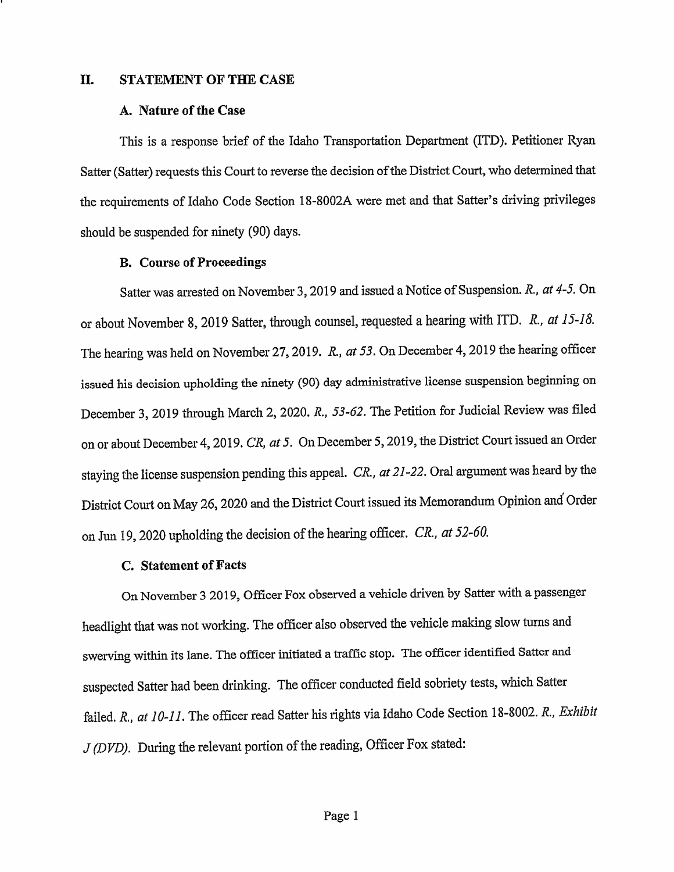#### II. **STATEMENT OF THE CASE**

#### **A. Nature of the Case**

This is a response brief of the Idaho Transportation Department (ITD). Petitioner Ryan Satter (Satter) requests this Court to reverse the decision of the District Court, who determined that the requirements of Idaho Code Section 18-8002A were met and that Satter's driving privileges should be suspended for ninety (90) days.

#### **B. Course of Proceedings**

Satter was arrested on November 3, 2019 and issued a Notice of Suspension. R., *at* 4-5. On or about November 8, 2019 Satter, through counsel, requested a hearing with ITD. *R., at 15-18.*  The hearing was held on November 27, 2019. R., *at 53*. On December 4, 2019 the hearing officer issued his decision upholding the ninety (90) day administrative license suspension beginning on December 3, 2019 through March 2, 2020. R., 53-62. The Petition for Judicial Review was filed on or about December 4, 2019. *CR, at 5.* On December 5, 2019, the District Court issued an Order staying the license suspension pending this appeal. *CR., at 21-22.* Oral argument was heard by the District Court on May 26, 2020 and the District Court issued its Memorandum Opinion and Order on Jun 19, 2020 upholding the decision of the hearing officer. *CR., at 52-60.* 

#### **C. Statement of Facts**

On November 3 2019, Officer Fox observed a vehicle driven by Satter with a passenger headlight that was not working. The officer also observed the vehicle making slow turns and swerving within its lane. The officer initiated a traffic stop. The officer identified Satter and suspected Satter had been drinking. The officer conducted field sobriety tests, which Satter failed. *R., at 10-11.* The officer read Satter his rights via Idaho Code Section 18-8002. *R., Exhibit <sup>J</sup>*(DVD). During the relevant portion of the reading, Officer Fox stated: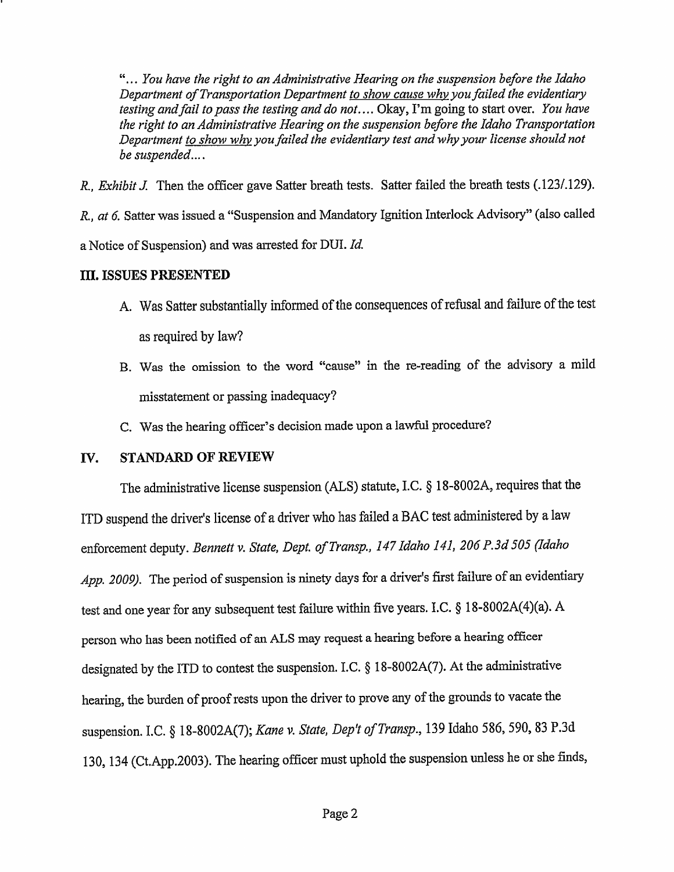" ... *You have the right to an Administrative Hearing on the suspension before the Idaho Department of Transportation Department to show cause why you failed the evidentiary testing and/ail to pass the testing and do not ....* Okay, I'm going to start over. *You have the right to an Administrative Hearing on the suspension before the Idaho Transportation Department to show why you failed the evidentiary test and why your license should not be suspended ....* 

*R., Exhibit* J. Then the officer gave Satter breath tests. Satter failed the breath tests (.123/.129).

R., *at 6.* Satter was issued a "Suspension and Mandatory Ignition Interlock Advisory" (also called a Notice of Suspension) and was arrested for DUI. *Id.* 

### ID. **ISSUES PRESENTED**

- A. Was Satter substantially informed of the consequences of refusal and failure of the test as required by law?
- B. Was the omission to the word "cause" in the re-reading of the advisory a mild misstatement or passing inadequacy?
- C. Was the hearing officer's decision made upon a lawful procedure?

# IV. **STANDARD OF REVIEW**

The administrative license suspension (ALS) statute, LC. § 18-8002A, requires that the ITD suspend the driver's license of a driver who has failed a BAC test administered by a law enforcement deputy. *Bennettv. State, Dept. ofTransp., 147 Idaho 141, 206 P.3d 505 (Idaho App. 2009).* The period of suspension is ninety days for a driver's first failure of an evidentiary test and one year for any subsequent test failure within five years. I.C. § 18-8002A(4)(a). A person who has been notified of an ALS may reques<sup>t</sup>a hearing before a hearing officer designated by the ITD to contest the suspension. LC. § 18-8002A(7). At the administrative hearing, the burden of proof rests upon the driver to prove any of the grounds to vacate the suspension. I.C. § 18-8002A(7); *Kane v. State, Dep't ofTransp.,* 139 Idaho 586, 590, 83 P.3d 130, 134 (Ct.App.2003). The hearing officer must uphold the suspension unless he or she finds,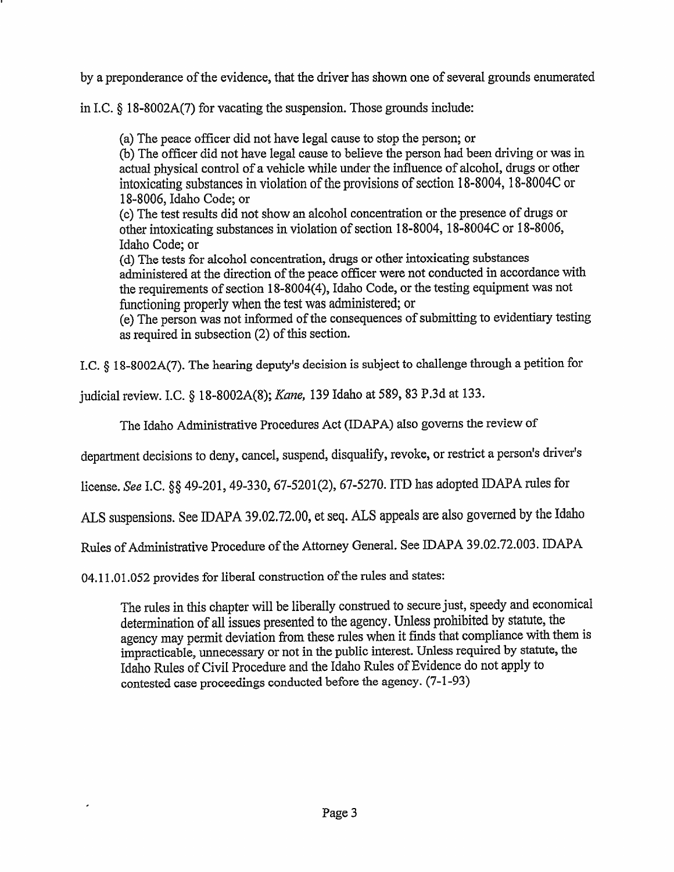by a preponderance of the evidence, that the driver has shown one of several grounds enumerated

in LC.§ 18-8002A(7) for vacating the suspension. Those grounds include:

(a) The peace officer did not have legal cause to stop the person; or (b) The officer did not have legal cause to believe the person had been driving or was in actual physical control of a vehicle while under the influence of alcohol, drugs or other intoxicating substances in violation of the provisions of section 18-8004, 18-8004C or 18-8006, Idaho Code; or

(c) The test results did not show an alcohol concentration or the presence of drugs or other intoxicating substances in violation of section 18-8004, l 8-8004C or 18-8006, Idaho Code; or

( d) The tests for alcohol concentration, drugs or other intoxicating substances administered at the direction of the peace officer were not conducted in accordance with the requirements of section 18-8004(4), Idaho Code, or the testing equipment was not functioning properly when the test was administered; or

( e) The person was not informed of the consequences of submitting to evidentiary testing as required in subsection (2) of this section.

LC. § 18-8002A(7). The hearing deputy's decision is subject to challenge through a petition for

judicial review. LC.§ 18-8002A(8); *Kane,* 139 Idaho at 589, 83 P.3d at 133.

The Idaho Administrative Procedures Act (IDAPA) also governs the review of

department decisions to deny, cancel, suspend, disqualify, revoke, or restrict a person's driver's

license. *See* I.C. §§ 49-201, 49-330, 67-5201(2), 67-5270. ITD has adopted IDAPA rules for

ALS suspensions. See IDAPA 39.02.72.00, et seq. ALS appeals are also governed by the Idaho

Rules of Administrative Procedure of the Attorney General. See IDAPA 39.02.72.003. IDAPA

04.11.01.052 provides for liberal construction of the rules and states:

 $\lambda$ 

The rules in this chapter will be liberally construed to secure just, speedy and economical determination of all issues presented to the agency. Unless prohibited by statute, the agency may permit deviation from these rules when it finds that compliance with them is impracticable, unnecessary or not in the public interest. Unless required by statute, the Idaho Rules of Civil Procedure and the Idaho Rules of Evidence do not apply to contested case proceedings conducted before the agency. (7-1-93)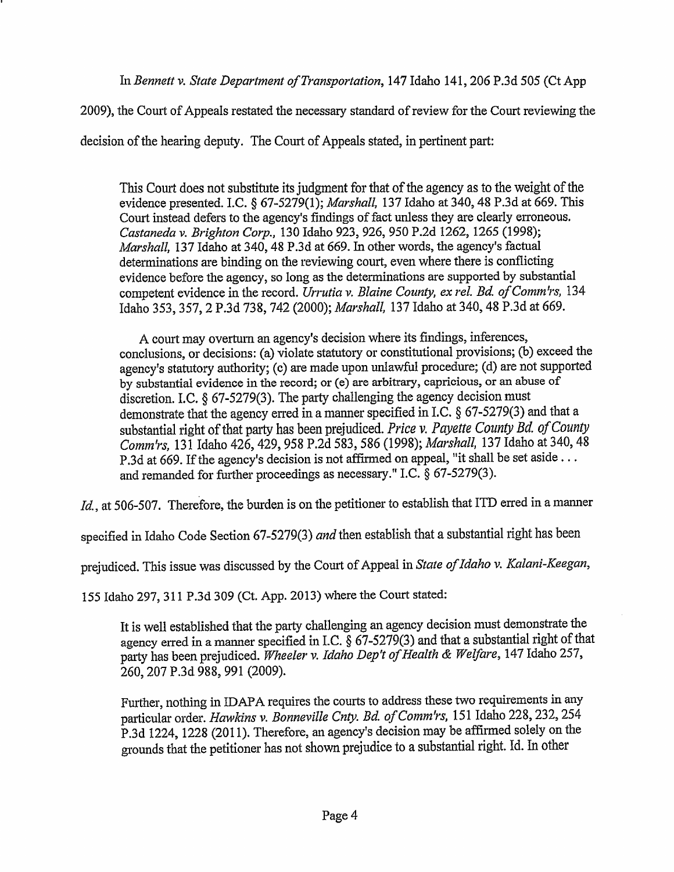In *Bennett v. State Department of Transportation, 147 Idaho 141, 206 P.3d 505 (Ct App* 

2009), the Court of Appeals restated the necessary standard of review for the Court reviewing the

decision of the hearing deputy. The Court of Appeals stated, in pertinent part:

This Comt does not substitute its judgment for that of the agency as to the weight of the evidence presented. LC. § 67-5279(1); *Marshall,* 137 Idaho at 340, 48 P.3d at 669. This Court instead defers to the agency's findings of fact unless they are clearly erroneous. *Castaneda v. Brighton Corp.,* 130 Idaho 923, 926, 950 P.2d 1262, 1265 (1998); *Marshall,* 137 Idaho at 340, 48 P.3d at 669. In other words, the agency's factual determinations are binding on the reviewing court, even where there is conflicting evidence before the agency, so long as the determinations are supported by substantial competent evidence in the record. *Urrutia v. Blaine County, ex rel. Bd. of Comm 'rs,* <sup>134</sup> Idaho 353,357, 2 P.3d 738, 742 (2000); *Marshall,* 137 Idaho at 340, 48 P.3d at 669.

A court may overturn an agency's decision where its findings, inferences, conclusions, or decisions: (a) violate statutory or constitutional provisions; {b) exceed the agency's statutory authority; (c) are made upon unlawful procedure; (d) are not supported by substantial evidence in the record; or (e) are arbitrary, capricious, or an abuse of discretion. I.C. § 67-5279(3). The party challenging the agency decision must demonstrate that the agency erred in a manner specified in LC.§ 67-5279(3) and that a substantial right of that party has been prejudiced. *Price* v. *Payette County Bd of County Comm'rs,* 131 Idaho 426,429, 958 P.2d 583,586 (1998); *Marshall,* 137 Idaho at 340, 48 P.3d at 669. If the agency's decision is not affirmed on appeal, "it shall be set aside ... and remanded for further proceedings as necessary." LC. § 67-5279(3).

*Id.*, at 506-507. Therefore, the burden is on the petitioner to establish that ITD erred in a manner

specified in Idaho Code Section 67-5279(3) *and* then establish that a substantial right has been

prejudiced. This issue was discussed by the Court of Appeal in *State of Idaho v. Kalani-Keegan,* 

155 Idaho 297, 311 P.3d 309 (Ct. App. 2013) where the Court stated:

It is well established that the party challenging an agency decision must demonstrate the agency erred in a manner specified in LC.§ 67-5279(3) and that a substantial right of that party has been prejudiced. *Wheeler v. Idaho Dep 't of Health* & *Welfare,* 14 7 Idaho 257, 260,207 P.3d 988, 991 (2009).

Further, nothing in IDAPA requires the courts to address these two requirements in any particular order. *Hmvkins v. Bonneville Cnty. Bd. ofComm'rs,* 151 Idaho 228,232,254 P.3d 1224, 1228 (2011). Therefore, an agency's decision may be affirmed solely on the grounds that the petitioner has not shown prejudice to a substantial right. Id. In other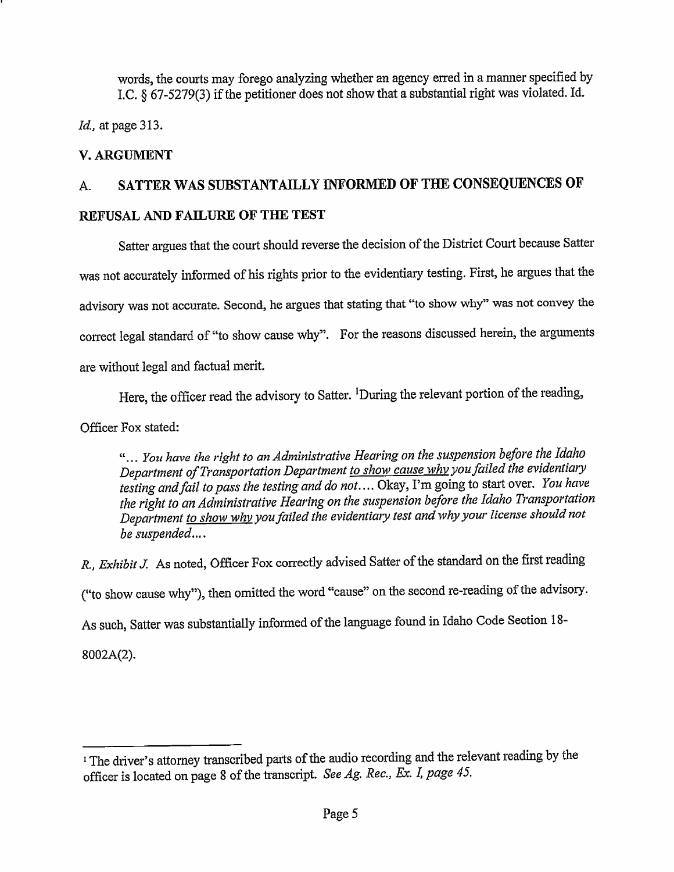words, the courts may forego analyzing whether an agency erred in a manner specified by LC. § 67-5279(3) if the petitioner does not show that a substantial right was violated. Id.

*Id.,* at page 313.

# **V.ARGUMENT**

# A. **SATTER WAS SUBSTANTAILLY INFORMED OF THE CONSEQUENCES OF**

# **REFUSAL AND FAILURE OF THE TEST**

Satter argues that the court should reverse the decision of the District Court because Satter was not accurately informed of his rights prior to the evidentiary testing. First, he argues that the advisory was not accurate. Second, he argues that stating that ''to show why" was not convey the correct legal standard of "to show cause why". For the reasons discussed herein, the arguments are without legal and factual merit.

Here, the officer read the advisory to Satter. <sup>1</sup>During the relevant portion of the reading,

Officer Fox stated:

" ... *You have the right to an Administrative Hearing on the suspension before the Idaho Department of Transportation Department <i>to show cause why* you failed the evidentiary *testing andfail to pass the testing and do not ....* Okay, I'm going to start over. *You have the right to an Administrative Hearing on the suspension before the Idaho Transportation Department to show* why *you failed the evidentiary test and* why *your license should not be suspended ....* 

*R., Exhibit J.* As noted, Officer Fox correctly advised Satter of the standard on the first reading ("to show cause why"), then omitted the word "cause" on the second re-reading of the advisory. As such, Satter was substantially informed of the language found in Idaho Code Section 18-8002A(2).

<sup>1</sup>The driver's attorney transcribed parts of the audio recording and the relevant reading by the officer is located on page 8 of the transcript. *See Ag. Rec., Ex.* L *page 45.*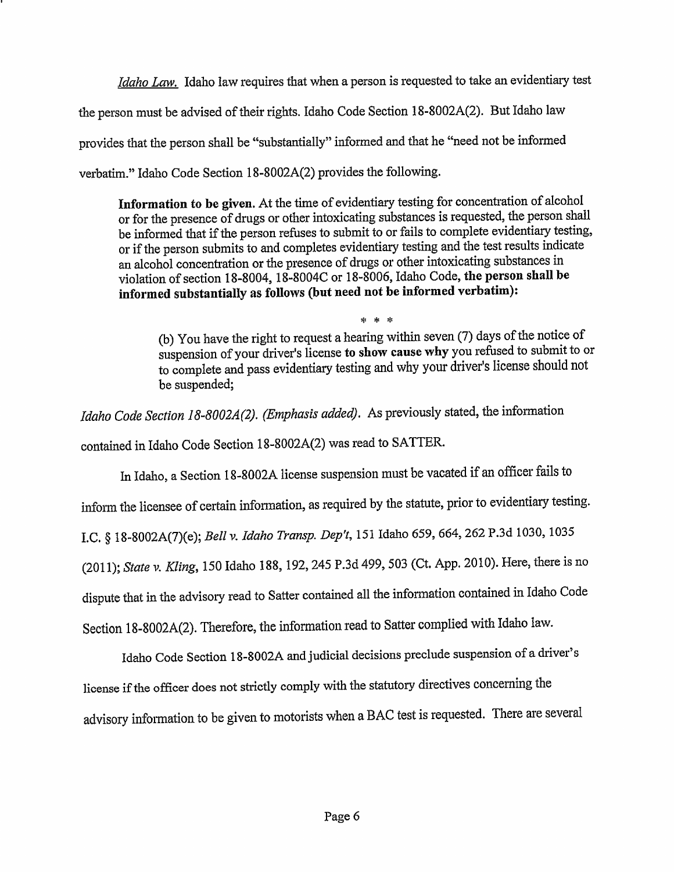*Idaho Law.* Idaho law requires that when a person is requested to take an evidentiary test the person must be advised of their rights. Idaho Code Section 18-8002A(2). But Idaho law provides that the person shall be "substantially" informed and that he "need not be informed verbatim." Idaho Code Section l 8-8002A(2) provides the following.

**Information to be given.** At the time of evidentiary testing for concentration of alcohol or for the presence of drugs or other intoxicating substances is requested, the person shall be informed that if the person refuses to submit to or fails to complete evidentiary testing, or if the person submits to and completes evidentiary testing and the test results indicate an alcohol concentration or the presence of drugs or other intoxicating substances in violation of section 18-8004, l 8-8004C or 18-8006, Idaho Code, **the person shall be informed substantially as follows (but need not be informed verbatim):** 

\* \* \* (b) You have the right to request a hearing within seven (7) days of the notice of suspension of your driver's license **to show cause why** you refused to submit to or to complete and pass evidentiary testing and why your driver's license should not be suspended;

*Idaho Code Section 18-8002A(2). (Emphasis added).* As previously stated, the information contained in Idaho Code Section l 8-8002A(2) was read to SATTER.

In Idaho, a Section l 8-8002A license suspension must be vacated if an officer fails to inform the licensee of certain information, as required by the statute, prior to evidentiary testing. LC.§ 18-8002A(7)(e); *Bell v. Idaho Transp. Dep't,* 151 Idaho 659,664,262 P.3d 1030, <sup>1035</sup> (2011); *State v. Kling,* 150 Idaho **188,** 192,245 P.3d 499,503 (Ct. App. 2010). Here, there is no dispute that in the advisory read to Satter contained all the information contained in Idaho Code Section l 8-8002A(2). Therefore, the information read to Satter complied with Idaho law.

Idaho Code Section l 8-8002A and judicial decisions preclude suspension of a driver's license if the officer does not strictly comply with the statutory directives concerning the advisory information to be given to motorists when a BAC test is requested. There are several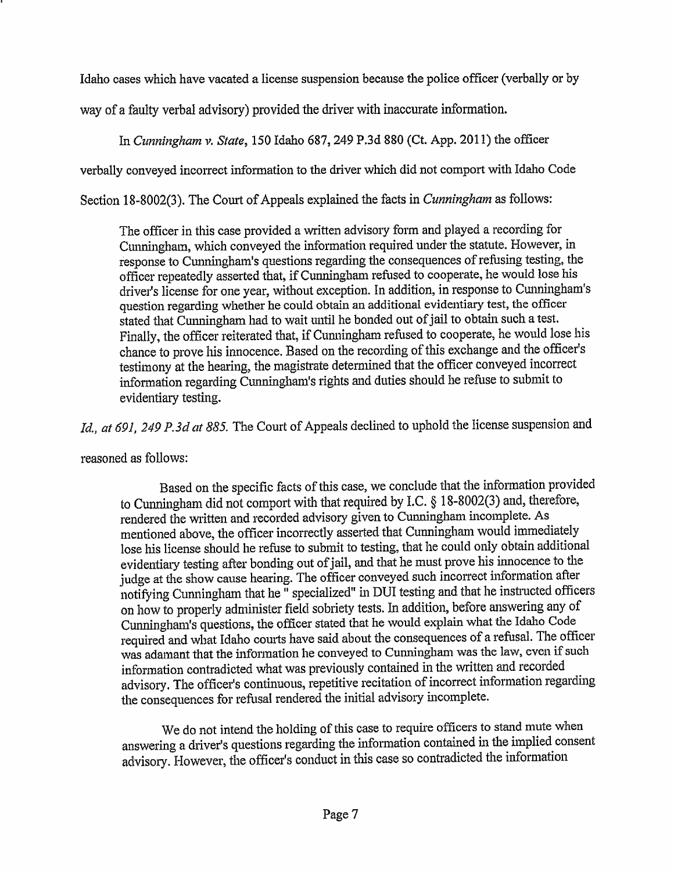Idaho cases which have vacated a license suspension because the police officer (verbally or by

way of a faulty verbal advisory) provided the driver with inaccurate information.

In *Cunningham v. State,* 150 Idaho 687, 249 P.3d 880 (Ct. App. 2011) the officer

verbally conveyed incorrect information to the driver which did not comport with Idaho Code

Section 18-8002(3). The Court of Appeals explained the facts in *Cunningham* as follows:

The officer in this case provided a written advisory form and played a recording for Cunningham, which conveyed the information required under the statute. However, in response to Cunningham's questions regarding the consequences of refusing testing, the officer repeatedly asserted that, if Cunningham refused to cooperate, he would lose his driver's license for one year, without exception. In addition, in response to Cunningham's question regarding whether he could obtain an additional evidentiary test, the officer stated that Cunningham had to wait until he bonded out of jail to obtain such a test. Finally, the officer reiterated that, if Cunningham refused to cooperate, he would lose his chance to prove his innocence. Based on the recording of this exchange and the officer's testimony at the hearing, the magistrate determined that the officer conveyed incorrect information regarding Cunningham's rights and duties should he refuse to submit to evidentiary testing.

*Id., at 691, 249 P.3d at 885.* The Court of Appeals declined to uphold the license suspension and

reasoned as follows:

Based on the specific facts of this case, we conclude that the infonnation provided to Cunningham did not comport with that required by I.C. § 18-8002(3) and, therefore, rendered the written and recorded advisory given to Cunningham incomplete. As mentioned above, the officer incorrectly asserted that Cunningham would immediately lose his license should he refuse to submit to testing, that he could only obtain additional evidentiary testing after bonding out of jail, and that he must prove his innocence to the judge at the show cause hearing. The officer conveyed such incorrect information after notifying Cunningham that he $\overline{\phantom{a}}$  specialized" in DUI testing and that he instructed officers on how to properly administer field sobriety tests. In addition, before answering any of Cunningham's questions, the officer stated that he would explain what the Idaho Code required and what Idaho courts have said about the consequences of a refusal. The officer was adamant that the information he conveyed to Cunningham was the law, even if such information contradicted what was previously contained in the written and recorded advisory. The officer's continuous, repetitive recitation of incorrect information regarding the consequences for refusal rendered the initial advisory incomplete.

We do not intend the holding of this case to require officers to stand mute when answering a driver's questions regarding the information contained in the implied consent advisory. However, the officer's conduct in this case so contradicted the information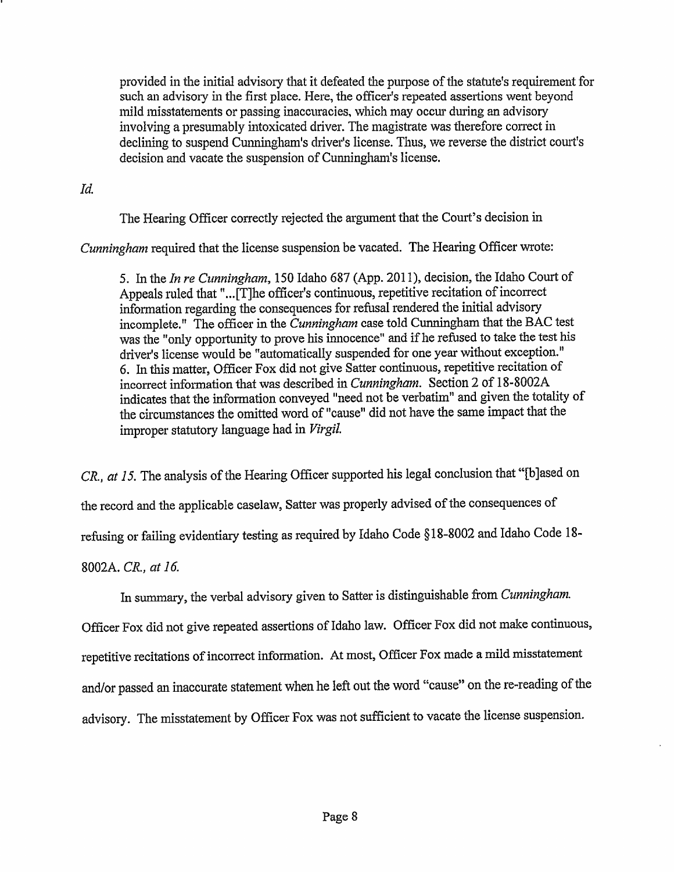provided in the initial advisory that it defeated the purpose of the statute's requirement for such an advisory in the first place. Here, the officer's repeated assertions went beyond mild misstatements or passing inaccuracies, which may occur during an advisory involving a presumably intoxicated driver. The magistrate was therefore correct in declining to suspend Cunningham's driver's license. Thus, we reverse the district court's decision and vacate the suspension of Cunningham's license.

*Id.* 

The Hearing Officer correctly rejected the argument that the Court's decision in

*Cunningham* required that the license suspension be vacated. The Hearing Officer wrote:

5. In the *In re Cunningham,* 150 Idaho 687 (App.2011), decision, the Idaho Court of Appeals ruled that "... [T]he officer's continuous, repetitive recitation of incorrect information regarding the consequences for refusal rendered the initial advisory incomplete." The officer in the *Cunningham* case told Cunningham that the BAC test was the "only opportunity to prove his innocence" and if he refused to take the test his driver's license would be "automatically suspended for one year without exception." 6. In this matter, Officer Fox did not give Satter continuous, repetitive recitation of incorrect information that was described in *Cunningham*. Section 2 of 18-8002A indicates that the information conveyed "need not be verbatim" and given the totality of the circumstances the omitted word of "cause" did not have the same impact that the improper statutory language had in *Virgil.* 

*CR. <sup>1</sup>at 15.* The analysis of the Hearing Officer supported his legal conclusion that "[b]ased on the record and the applicable caselaw, Satter was properly advised of the consequences of refusing or failing evidentiary testing as required by Idaho Code § 18-8002 and Idaho Code 18-

8002A. *CR., at 16.* 

In summary, the verbal advisory given to Satter is distinguishable from *Cunningham.* 

Officer Fox did not give repeated assertions of Idaho law. Officer Fox did not make continuous, repetitive recitations of incorrect information. At most, Officer Fox made a mild misstatement and/or passed an inaccurate statement when he left out the word "cause" on the re-reading of the advisory. The misstatement by Officer Fox was not sufficient to vacate the license suspension.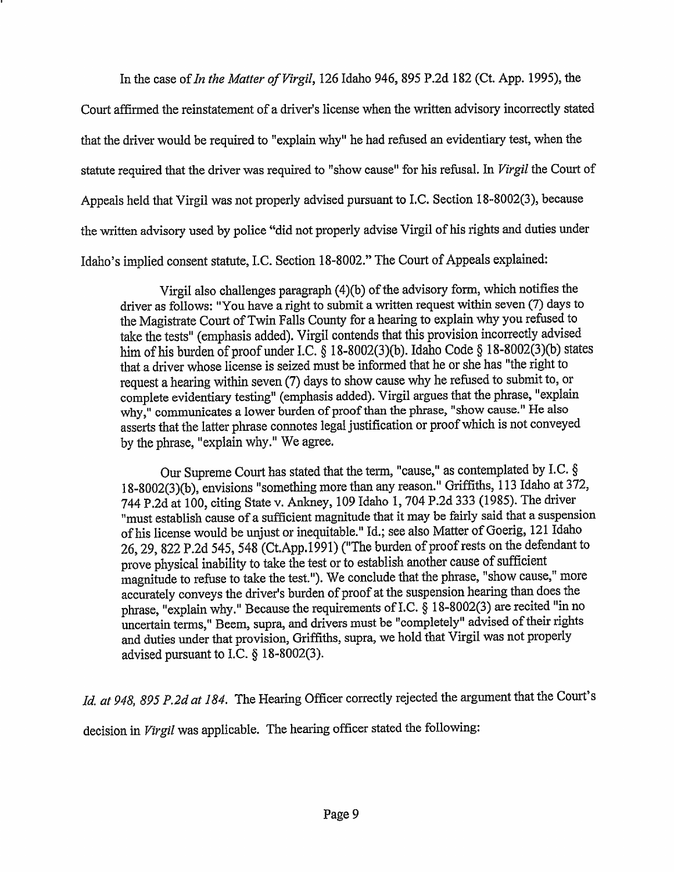In the case of *In the Matter of Virgil,* 126 Idaho 946, 895 P.2d 182 (Ct. App. 1995), the

Court affirmed the reinstatement of a driver's license when the written advisory incorrectly stated that the driver would be required to "explain why" he had refused an evidentiary test, when the statute required that the driver was required to "show cause" for his refusal. In *Virgil* the Court of Appeals held that Virgil was not properly advised pursuant to LC. Section 18-8002(3), because the written advisory used by police "did not properly advise Virgil of his rights and duties under Idaho's implied consent statute, LC. Section 18-8002." The Court of Appeals explained:

Virgil also challenges paragraph (4)(b) of the advisory form, which notifies the driver as follows: "You have a right to submit a written request within seven (7) days to the Magistrate Court of Twin Falls County for a hearing to explain why you refused to take the tests" (emphasis added). Virgil contends that this provision incorrectly advised him of his burden of proof under I.C. § 18-8002(3)(b). Idaho Code § 18-8002(3)(b) states that a driver whose license is seized must be informed that he or she has "the right to request a hearing within seven (7) days to show cause why he refused to submit to, or complete evidentiary testing" (emphasis added). Virgil argues that the phrase, "explain why," communicates a lower burden of proof than the phrase, "show cause." He also asserts that the latter phrase connotes legal justification or proof which is not conveye<sup>d</sup> by the phrase, "explain why." We agree.

Our Supreme Court has stated that the term, "cause," as contemplated by I.C.  $\S$ 18-8002(3)(b), envisions "something more than any reason." Griffiths, 113 Idaho at 372, <sup>744</sup>P.2d at 100, citing State v. Ankney, 109 Idaho I, 704 P.2d 333 (1985). The driver "must establish cause of a sufficient magnitude that it may be fairly said that a suspension of his license would be unjust or inequitable." Id.; see also Matter of Goerig, 121 Idaho 26, 29, 822 P.2d 545, 548 (Ct.App.1991) ("The burden of proof rests on the defendant to prove physical inability to take the test or to establish another cause of sufficient magnitude to refuse to take the test.''). We conclude that the phrase, "show cause," more accurately conveys the driver's burden of proo<sup>f</sup>at the suspension hearing than does the phrase, "explain why." Because the requirements of I.C.  $\S$  18-8002(3) are recited "in no uncertain terms," Beem, supra, and drivers must be "completely" advised of their rights and duties under that provision, Griffiths, supra, we hold that Virgil was not properly advised pursuant to I.C.  $\S$  18-8002(3).

*Id. at 948, 895 P.2d at 184.* The Hearing Officer correctly rejected the argument that the Court's

decision in *Virgil* was applicable. The hearing officer stated the following: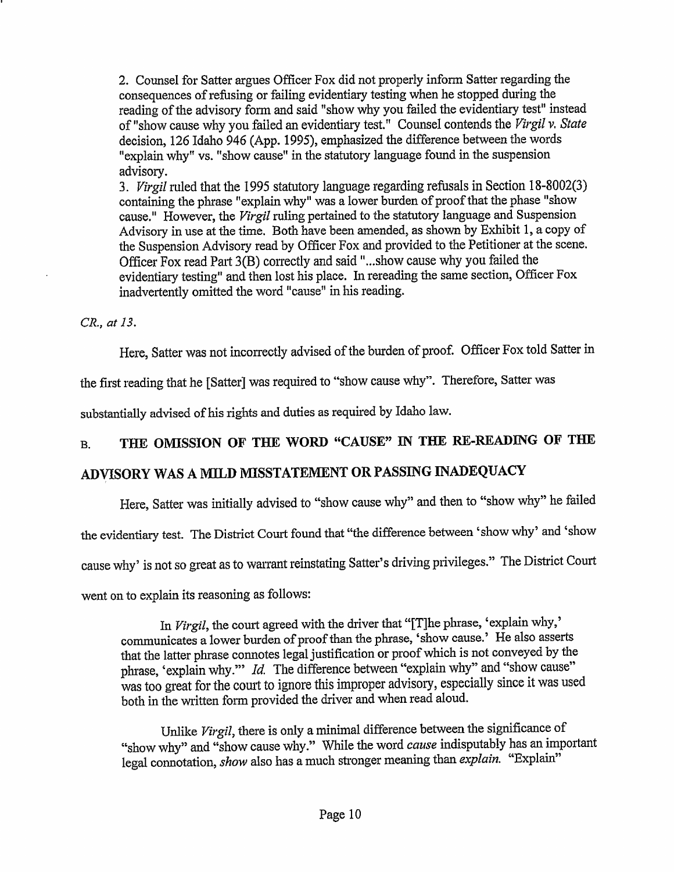2. Counsel for Satter argues Officer Fox did not properly inform Satter regarding the consequences of refusing or failing evidentiary testing when he stopped during the reading of the advisory form and said "show why you failed the evidentiary test" instead of "show cause why you failed an evidentiary test." Counsel contends the *Virgil v. State*  decision, 126 Idaho 946 (App. 1995), emphasized the difference between the words "explain why" vs. "show cause" in the statutory language found in the suspension advisory.

3. *Virgil* ruled that the 1995 statutory language regarding refusals in Section 18-8002(3) containing the phrase "explain why" was a lower burden of proof that the phase "show cause." However, the *Virgil* ruling pertained to the statutory language and Suspension Advisory in use at the time. Both have been amended, as shown by Exhibit 1, a copy of the Suspension Advisory read by Officer Fox and provided to the Petitioner at the scene. Officer Fox read Part 3(B) correctly and said "...show cause why you failed the evidentiary testing" and then lost his place. In rereading the same section, Officer Fox inadvertently omitted the word "cause" in his reading.

*CR., at 13.* 

Here, Satter was not incorrectly advised of the burden of proof. Officer Fox told Satter in

the first reading that he [Satter] was required to "show cause why". Therefore, Satter was

substantially advised of his rights and duties as required by Idaho law.

# B. **THE OMISSION OF THE WORD "CAUSE"** IN **THE RE-READING OF THE**

# **ADVISORY WAS A MILD MISSTATEIVIENT OR PASSING INADEQUACY**

Here, Satter was initially advised to "show cause why" and then to "show why" he failed

the evidentiary test. The District Court found that "the difference between 'show why' and 'show

cause why' is not so great as to warrant reinstating Satter's driving privileges." The District Court

went on to explain its reasoning as follows:

In *Virgil*, the court agreed with the driver that "[T]he phrase, 'explain why,' communicates a lower burden of proof than the phrase, 'show cause.' He also asserts that the latter phrase connotes legal justification or proof which is not conveyed by the phrase, 'explain why."" *Id.* The difference between "explain why" and "show cause" was too great for the comt to ignore this improper advisory, especially since it was used both in the written form provided the driver and when read aloud.

Unlike Virgil, there is only a minimal difference between the significance of "show why" and "show cause why." While the word *cause* indisputably has an important legal connotation, *show* also has a much stronger meaning than *explain.* "Explain"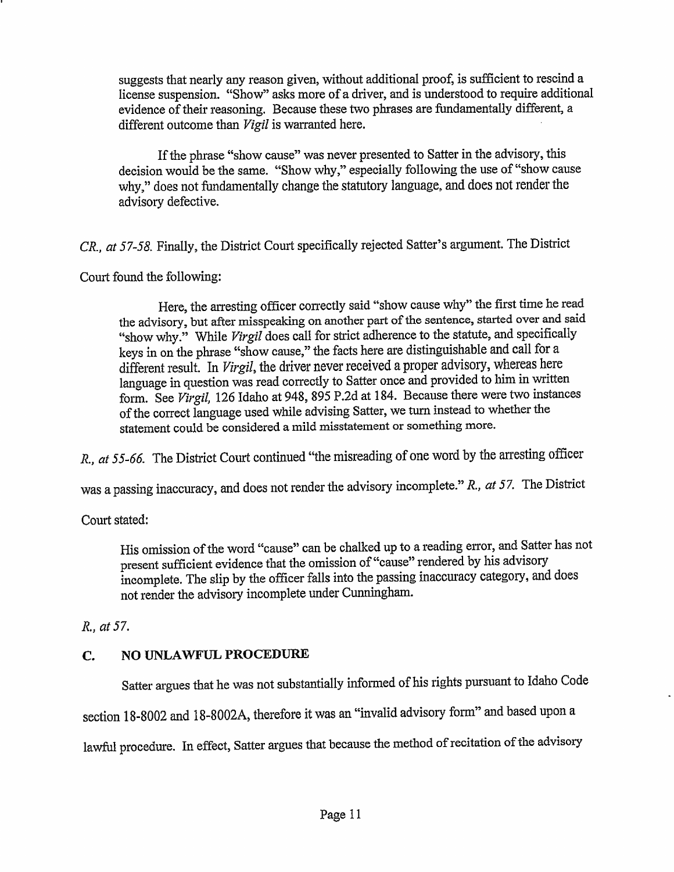suggests that nearly any reason given, without additional proof, is sufficient to rescind a license suspension. "Show" asks more of a driver, and is understood to require additional evidence of their reasoning. Because these two phrases are fundamentally different, <sup>a</sup> different outcome than *Vigil* is warranted here.

If the phrase "show cause" was never presented to Satter in the advisory, this decision would be the same. "Show why," especially following the use of "show cause why," does not fundamentally change the statutory language, and does not render the advisory defective.

*CR., at 57-58.* Finally, the District Court specifically rejected Satter's argument. The District

Court found the following:

Here, the arresting officer correctly said "show cause why" the first time he read the advisory, but after misspeaking on another part of the sentence, started over and said "show why." While *Virgil* does call for strict adherence to the statute, and specifically keys in on the phrase "show cause," the facts here are distinguishable and call for <sup>a</sup> different result. In *Virgil,* the driver never received a proper advisory, whereas here language in question was read correctly to Satter once and provided to him in written form. See *Virgil*, 126 Idaho at 948, 895 P.2d at 184. Because there were two instances of the correct language used while advising Satter, we turn instead to whether the statement could be considered a mild misstatement or something more.

R., at 55-66. The District Court continued "the misreading of one word by the arresting officer

was a passing inaccuracy, and does not render the advisory incomplete." R., *at* 57. The District

Court stated:

His omission of the word "cause" can be chalked up to a reading error, and Satter has not present sufficient evidence that the omission of "cause" rendered by his advisory incomplete. The slip by the officer falls into the passing inaccuracy category, and does not render the advisory incomplete under Cunningham.

R., *at* 57.

# **C. NO UNLAWFUL PROCEDURE**

Satter argues that he was not substantially informed of his rights pursuant to Idaho Code

section 18-8002 and 18-8002A, therefore it was an "invalid advisory form" and based upon a

lawful procedure. In effect, Satter argues that because the method of recitation of the advisory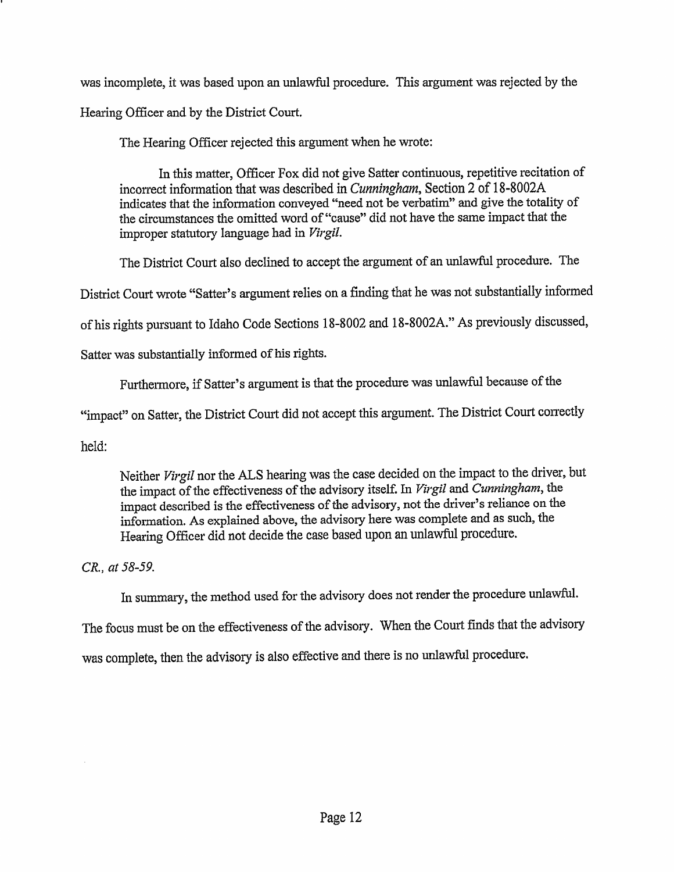was incomplete, it was based upon an unlawful procedure. This argument was rejected by the Hearing Officer and by the District Court.

The Hearing Officer rejected this argument when he wrote:

In this matter, Officer Fox did not give Satter continuous, repetitive recitation of incorrect information that was described in *Cunningham*, Section 2 of 18-8002A indicates that the information conveyed "need not be verbatim" and give the totality of the circumstances the omitted word of "cause" did not have the same impact that the improper statutory language had in *Virgil.* 

The District Court also declined to accept the argument of an unlawful procedure. The

District Court wrote "Satter's argument relies on a finding that he was not substantially informed

of his rights pursuant to Idaho Code Sections 18-8002 and 18-8002A." As previously discussed,

Satter was substantially informed of his rights.

Furthermore, if Satter's argument is that the procedure was unlawful because of the

"impact" on Satter, the District Court did not accept this argument. The District Court correctly

held:

Neither *Virgil* nor the ALS hearing was the case decided on the impact to the driver, but the impact of the effectiveness of the advisory itself. In *Virgil* and *Cunningham,* the impact described is the effectiveness of the advisory, not the driver's reliance on the information. As explained above, the advisory here was complete and as such, the Hearing Officer did not decide the case based upon an unlawful procedure.

*CR., at 58-59.* 

In summary, the method used for the advisory does not render the procedure unlawful.

The focus must be on the effectiveness of the advisory. When the Court finds that the advisory

was complete, then the advisory is also effective and there is no unlawful procedure.